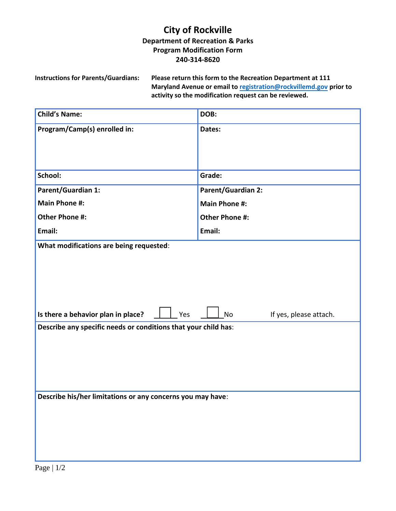## **City of Rockville Department of Recreation & Parks Program Modification Form 240-314-8620**

**Instructions for Parents/Guardians: Please return this form to the Recreation Department at 111 Maryland Avenue or email to [registration@rockvillemd.gov](mailto:registration@rockvillemd.gov) prior to activity so the modification request can be reviewed.** 

| <b>Child's Name:</b>                                           | DOB:                                |  |
|----------------------------------------------------------------|-------------------------------------|--|
| Program/Camp(s) enrolled in:                                   | Dates:                              |  |
|                                                                |                                     |  |
|                                                                |                                     |  |
| School:                                                        | Grade:                              |  |
| Parent/Guardian 1:                                             | Parent/Guardian 2:                  |  |
| <b>Main Phone #:</b>                                           | <b>Main Phone #:</b>                |  |
| Other Phone #:                                                 | <b>Other Phone #:</b>               |  |
| Email:                                                         | Email:                              |  |
| What modifications are being requested:                        |                                     |  |
|                                                                |                                     |  |
|                                                                |                                     |  |
|                                                                |                                     |  |
|                                                                |                                     |  |
| Is there a behavior plan in place?<br>Yes                      | If yes, please attach.<br><b>No</b> |  |
| Describe any specific needs or conditions that your child has: |                                     |  |
|                                                                |                                     |  |
|                                                                |                                     |  |
|                                                                |                                     |  |
|                                                                |                                     |  |
| Describe his/her limitations or any concerns you may have:     |                                     |  |
|                                                                |                                     |  |
|                                                                |                                     |  |
|                                                                |                                     |  |
|                                                                |                                     |  |